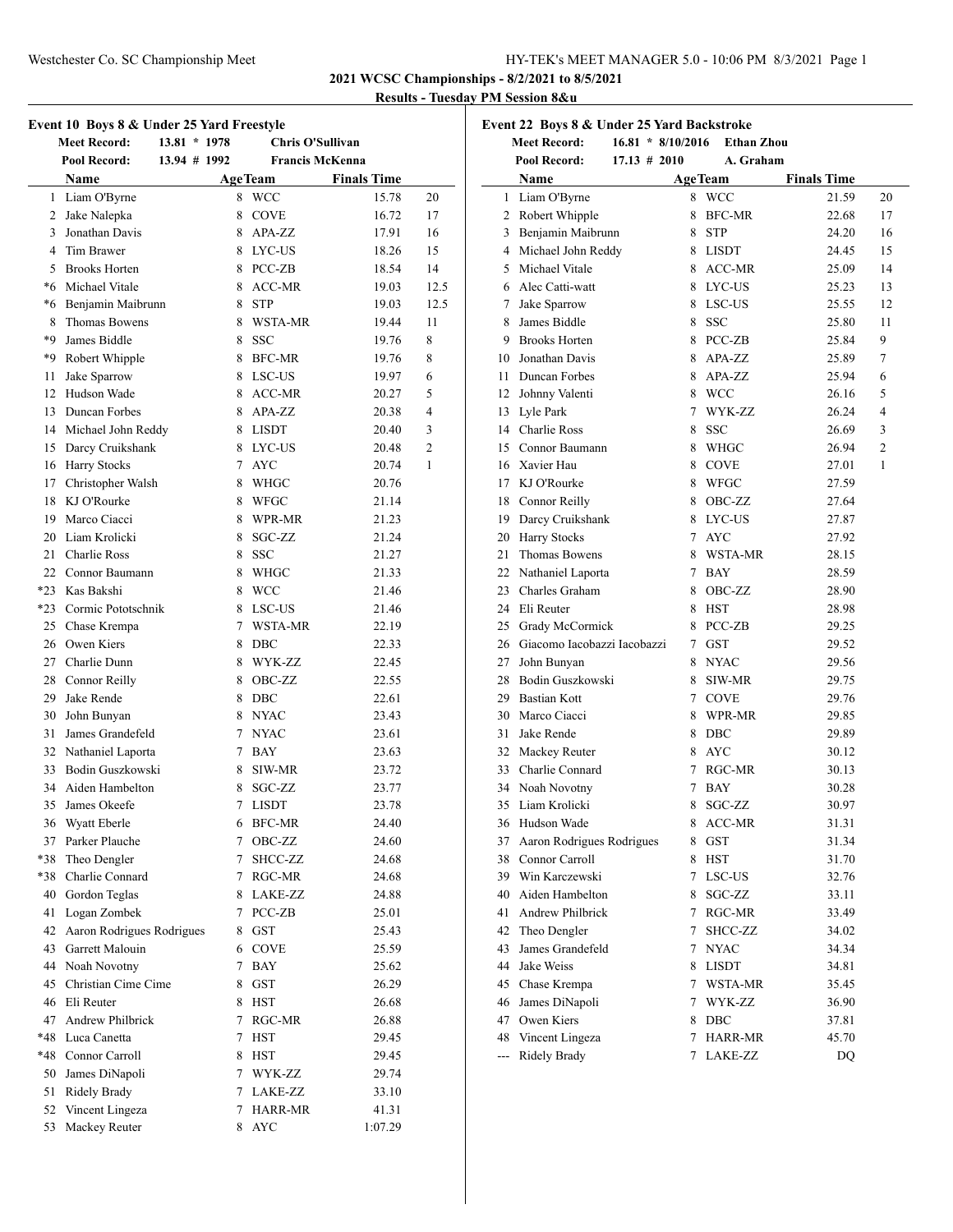**2021 WCSC Championships - 8/2/2021 to 8/5/2021**

# **Results - Tuesday PM Session 8&u**

| Event 10 Boys 8 & Under 25 Yard Freestyle<br><b>Meet Record:</b><br>$13.81 * 1978$<br>Chris O'Sullivan |                                     |              |                           |                        |                |
|--------------------------------------------------------------------------------------------------------|-------------------------------------|--------------|---------------------------|------------------------|----------------|
|                                                                                                        |                                     |              |                           | <b>Francis McKenna</b> |                |
|                                                                                                        | Pool Record:                        | 13.94 # 1992 |                           |                        |                |
|                                                                                                        | Name                                |              | <b>AgeTeam</b>            | <b>Finals Time</b>     |                |
| 1                                                                                                      | Liam O'Byrne                        |              | 8 WCC                     | 15.78                  | 20             |
| 2                                                                                                      | Jake Nalepka                        |              | 8 COVE                    | 16.72                  | 17             |
| 3                                                                                                      | Jonathan Davis                      |              | APA-ZZ<br>8.              | 17.91                  | 16             |
|                                                                                                        | 4 Tim Brawer                        |              | 8 LYC-US                  | 18.26                  | 15             |
|                                                                                                        | 5 Brooks Horten                     |              | 8 PCC-ZB                  | 18.54                  | 14             |
|                                                                                                        | *6 Michael Vitale                   |              | 8 ACC-MR                  | 19.03                  | 12.5           |
|                                                                                                        | *6 Benjamin Maibrunn                |              | 8 STP                     | 19.03                  | 12.5           |
|                                                                                                        | 8 Thomas Bowens                     |              | 8 WSTA-MR                 | 19.44                  | 11             |
|                                                                                                        | *9 James Biddle                     |              | 8 SSC                     | 19.76                  | 8              |
|                                                                                                        | *9 Robert Whipple                   |              | 8 BFC-MR                  | 19.76                  | 8              |
| 11                                                                                                     | Jake Sparrow                        |              | 8 LSC-US                  | 19.97                  | 6              |
|                                                                                                        | 12 Hudson Wade                      |              | 8 ACC-MR                  | 20.27                  | 5              |
|                                                                                                        | 13 Duncan Forbes                    |              | 8 APA-ZZ                  | 20.38                  | 4              |
|                                                                                                        | 14 Michael John Reddy               |              | 8 LISDT                   | 20.40                  | 3              |
|                                                                                                        | 15 Darcy Cruikshank                 |              | 8 LYC-US                  | 20.48                  | $\overline{c}$ |
|                                                                                                        | 16 Harry Stocks                     |              | 7 AYC                     | 20.74                  | 1              |
|                                                                                                        | 17 Christopher Walsh                |              | 8 WHGC                    | 20.76                  |                |
|                                                                                                        | 18 KJ O'Rourke                      |              | 8 WFGC                    | 21.14                  |                |
|                                                                                                        | 19 Marco Ciacci                     |              | 8 WPR-MR                  | 21.23                  |                |
|                                                                                                        | 20 Liam Krolicki                    |              | 8 SGC-ZZ                  | 21.24                  |                |
|                                                                                                        | 21 Charlie Ross                     |              | 8<br><b>SSC</b>           | 21.27                  |                |
|                                                                                                        | 22 Connor Baumann                   |              | 8 WHGC                    | 21.33                  |                |
|                                                                                                        | *23 Kas Bakshi                      |              | 8 WCC                     | 21.46                  |                |
|                                                                                                        | *23 Cormic Pototschnik              |              | 8 LSC-US                  | 21.46                  |                |
|                                                                                                        | 25 Chase Krempa                     |              | 7 WSTA-MR                 | 22.19                  |                |
|                                                                                                        | 26 Owen Kiers                       |              | 8 DBC                     | 22.33                  |                |
|                                                                                                        | 27 Charlie Dunn                     |              | 8 WYK-ZZ                  | 22.45                  |                |
|                                                                                                        | 28 Connor Reilly                    |              | 8 OBC-ZZ                  | 22.55                  |                |
|                                                                                                        | 29 Jake Rende                       |              | 8 DBC                     | 22.61                  |                |
|                                                                                                        | 30 John Bunyan                      |              | 8 NYAC                    | 23.43                  |                |
|                                                                                                        | 31 James Grandefeld                 |              | 7 NYAC                    | 23.61                  |                |
|                                                                                                        | 32 Nathaniel Laporta                |              | 7 BAY                     | 23.63                  |                |
|                                                                                                        | 33 Bodin Guszkowski                 |              | 8<br>SIW-MR               | 23.72                  |                |
|                                                                                                        | 34 Aiden Hambelton                  |              | SGC-ZZ<br>8               | 23.77                  |                |
|                                                                                                        | 35 James Okeefe                     |              | 7 LISDT                   | 23.78                  |                |
|                                                                                                        | 36 Wyatt Eberle                     |              |                           |                        |                |
| 37                                                                                                     | Parker Plauche                      |              | 6 BFC-MR<br>7             | 24.40                  |                |
| *38                                                                                                    |                                     |              | OBC-ZZ<br>SHCC-ZZ         | 24.60                  |                |
|                                                                                                        | Theo Dengler<br>*38 Charlie Connard |              | 7                         | 24.68                  |                |
|                                                                                                        |                                     |              | RGC-MR<br>7               | 24.68                  |                |
|                                                                                                        | 40 Gordon Teglas                    |              | 8 LAKE-ZZ                 | 24.88                  |                |
| 41                                                                                                     | Logan Zombek                        |              | 7 PCC-ZB                  | 25.01                  |                |
|                                                                                                        | 42 Aaron Rodrigues Rodrigues        |              | 8 GST                     | 25.43                  |                |
|                                                                                                        | 43 Garrett Malouin                  |              | 6 COVE                    | 25.59                  |                |
|                                                                                                        | 44 Noah Novotny                     |              | $7^{\circ}$<br><b>BAY</b> | 25.62                  |                |
|                                                                                                        | 45 Christian Cime Cime              | 8            | <b>GST</b>                | 26.29                  |                |
|                                                                                                        | 46 Eli Reuter                       |              | <b>HST</b><br>8           | 26.68                  |                |
| 47                                                                                                     | Andrew Philbrick                    |              | RGC-MR<br>7               | 26.88                  |                |
| *48                                                                                                    | Luca Canetta                        | 7            | HST                       | 29.45                  |                |
|                                                                                                        | *48 Connor Carroll                  |              | <b>HST</b><br>8           | 29.45                  |                |
|                                                                                                        | 50 James DiNapoli                   |              | 7<br>WYK-ZZ               | 29.74                  |                |
| 51                                                                                                     | Ridely Brady                        |              | 7 LAKE-ZZ                 | 33.10                  |                |
| 52                                                                                                     | Vincent Lingeza                     |              | 7 HARR-MR                 | 41.31                  |                |
| 53                                                                                                     | Mackey Reuter                       | 8            | AYC                       | 1:07.29                |                |

|       | Event 22 Boys 8 & Under 25 Yard Backstroke<br>$16.81 * 8/10/2016$ |        |                   |                    |    |  |  |
|-------|-------------------------------------------------------------------|--------|-------------------|--------------------|----|--|--|
|       | <b>Meet Record:</b>                                               |        | <b>Ethan Zhou</b> |                    |    |  |  |
|       | Pool Record:<br>$17.13 \# 2010$                                   |        | A. Graham         |                    |    |  |  |
|       | Name                                                              |        | <b>AgeTeam</b>    | <b>Finals Time</b> |    |  |  |
| 1     | Liam O'Byrne                                                      | 8      | <b>WCC</b>        | 21.59              | 20 |  |  |
| 2     | Robert Whipple                                                    | 8      | <b>BFC-MR</b>     | 22.68              | 17 |  |  |
| 3     | Benjamin Maibrunn                                                 | 8      | <b>STP</b>        | 24.20              | 16 |  |  |
|       | 4 Michael John Reddy                                              | 8      | LISDT             | 24.45              | 15 |  |  |
| 5     | Michael Vitale                                                    | 8      | ACC-MR            | 25.09              | 14 |  |  |
|       | 6 Alec Catti-watt                                                 | 8      | LYC-US            | 25.23              | 13 |  |  |
| 7     | Jake Sparrow                                                      | 8      | LSC-US            | 25.55              | 12 |  |  |
| 8     | James Biddle                                                      | 8      | <b>SSC</b>        | 25.80              | 11 |  |  |
| 9     | <b>Brooks Horten</b>                                              | 8.     | PCC-ZB            | 25.84              | 9  |  |  |
| 10    | Jonathan Davis                                                    | 8      | APA-ZZ            | 25.89              | 7  |  |  |
| 11    | Duncan Forbes                                                     | 8      | APA-ZZ            | 25.94              | 6  |  |  |
| 12    | Johnny Valenti                                                    | 8      | <b>WCC</b>        | 26.16              | 5  |  |  |
| 13    | Lyle Park                                                         | 7      | WYK-ZZ            | 26.24              | 4  |  |  |
| 14    | Charlie Ross                                                      | 8      | <b>SSC</b>        | 26.69              | 3  |  |  |
| 15    | Connor Baumann                                                    | 8.     | WHGC              | 26.94              | 2  |  |  |
| 16    | Xavier Hau                                                        | 8      | <b>COVE</b>       | 27.01              | 1  |  |  |
|       | 17 KJ O'Rourke                                                    | 8      | WFGC              | 27.59              |    |  |  |
| 18    | Connor Reilly                                                     | 8      | OBC-ZZ            | 27.64              |    |  |  |
|       | 19 Darcy Cruikshank                                               | 8      | LYC-US            | 27.87              |    |  |  |
|       | 20 Harry Stocks                                                   | $\tau$ | <b>AYC</b>        | 27.92              |    |  |  |
| 21    | Thomas Bowens                                                     | 8      | WSTA-MR           | 28.15              |    |  |  |
| 22    | Nathaniel Laporta                                                 | 7      | <b>BAY</b>        | 28.59              |    |  |  |
| 23    | Charles Graham                                                    | 8      | OBC-ZZ            | 28.90              |    |  |  |
| 24    | Eli Reuter                                                        | 8      | <b>HST</b>        | 28.98              |    |  |  |
| 25    | Grady McCormick                                                   | 8      | PCC-ZB            | 29.25              |    |  |  |
|       | 26 Giacomo Iacobazzi Iacobazzi                                    | 7      | <b>GST</b>        | 29.52              |    |  |  |
| 27    | John Bunyan                                                       | 8      | <b>NYAC</b>       | 29.56              |    |  |  |
| 28    | Bodin Guszkowski                                                  | 8      | SIW-MR            | 29.75              |    |  |  |
| 29    | <b>Bastian Kott</b>                                               | 7      | <b>COVE</b>       | 29.76              |    |  |  |
| 30    | Marco Ciacci                                                      | 8      | WPR-MR            | 29.85              |    |  |  |
| 31    | Jake Rende                                                        | 8      | DBC               | 29.89              |    |  |  |
|       | 32 Mackey Reuter                                                  | 8      | AYC               | 30.12              |    |  |  |
| 33    | Charlie Connard                                                   | $\tau$ | RGC-MR            | 30.13              |    |  |  |
|       | 34 Noah Novotny                                                   | 7      | <b>BAY</b>        | 30.28              |    |  |  |
|       | 35 Liam Krolicki                                                  | 8      | SGC-ZZ            | 30.97              |    |  |  |
| 36    | Hudson Wade                                                       | 8      | ACC-MR            | 31.31              |    |  |  |
| 37    | Aaron Rodrigues Rodrigues                                         | 8      | GST               | 31.34              |    |  |  |
| 38    | Connor Carroll                                                    | 8      | <b>HST</b>        | 31.70              |    |  |  |
| 39    | Win Karczewski                                                    | 7      | LSC-US            | 32.76              |    |  |  |
| 40    | Aiden Hambelton                                                   | 8      | SGC-ZZ            | 33.11              |    |  |  |
| 41    | Andrew Philbrick                                                  | 7      | RGC-MR            | 33.49              |    |  |  |
| 42    | Theo Dengler                                                      | 7      | SHCC-ZZ           | 34.02              |    |  |  |
| 43    | James Grandefeld                                                  | 7      | <b>NYAC</b>       | 34.34              |    |  |  |
| 44    | Jake Weiss                                                        | 8      | <b>LISDT</b>      | 34.81              |    |  |  |
| 45    | Chase Krempa                                                      | 7      | WSTA-MR           | 35.45              |    |  |  |
| 46    | James DiNapoli                                                    | 7      | WYK-ZZ            | 36.90              |    |  |  |
| 47    | Owen Kiers                                                        | 8      | DBC               | 37.81              |    |  |  |
| 48    | Vincent Lingeza                                                   | 7      | HARR-MR           | 45.70              |    |  |  |
| $---$ | Ridely Brady                                                      | 7      | LAKE-ZZ           | DQ                 |    |  |  |
|       |                                                                   |        |                   |                    |    |  |  |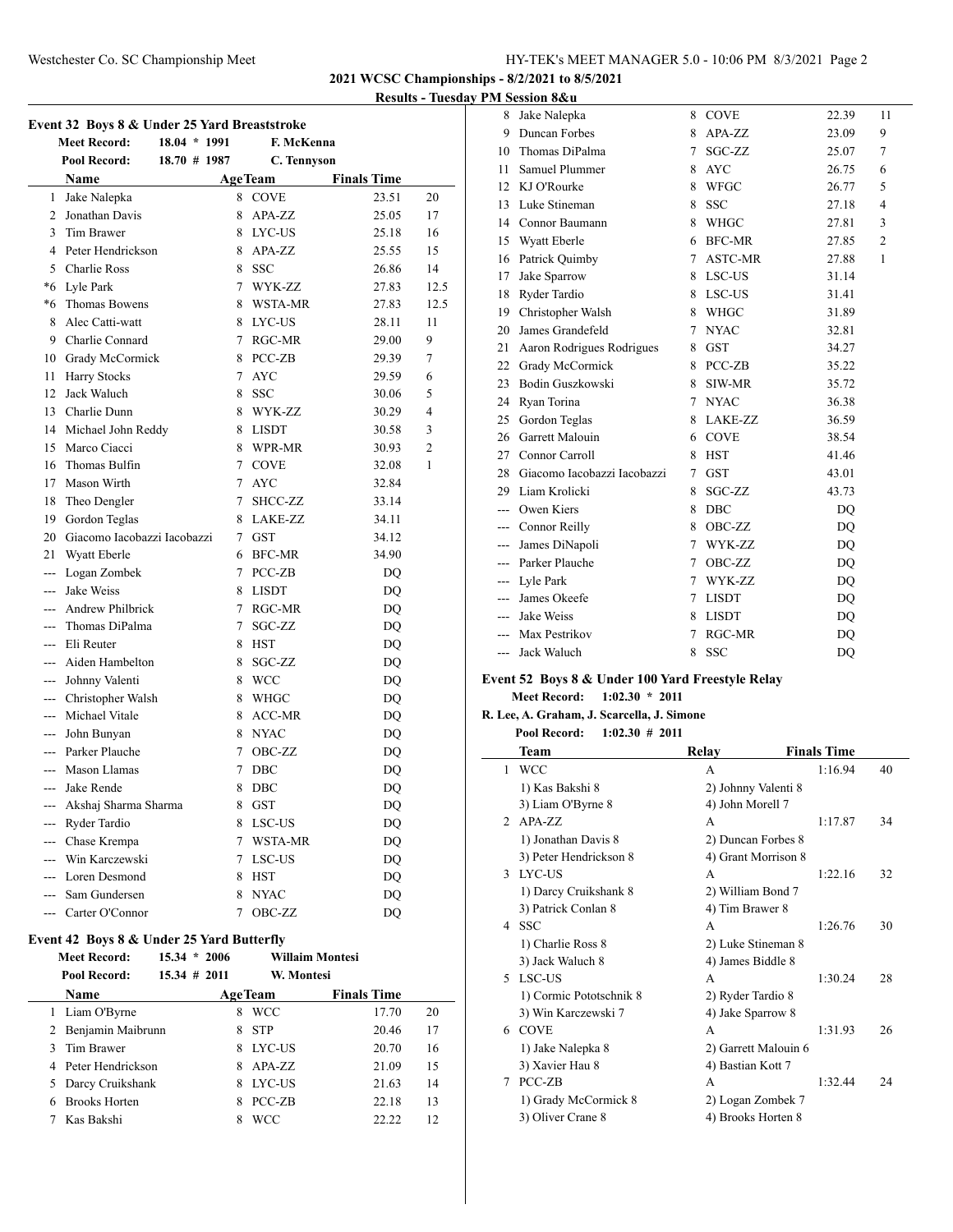## Westchester Co. SC Championship Meet HY-TEK's MEET MANAGER 5.0 - 10:06 PM 8/3/2021 Page 2

**2021 WCSC Championships - 8/2/2021 to 8/5/2021**

#### **Results - Tuesday PM Session 8&u**

| Event 32 Boys 8 & Under 25 Yard Breaststroke |                                |                 |  |        |                |                    |                |
|----------------------------------------------|--------------------------------|-----------------|--|--------|----------------|--------------------|----------------|
|                                              | <b>Meet Record:</b>            | 18.04 * 1991    |  |        | F. McKenna     |                    |                |
|                                              | <b>Pool Record:</b>            | $18.70 \# 1987$ |  |        | C. Tennyson    |                    |                |
|                                              | Name                           |                 |  |        | <b>AgeTeam</b> | <b>Finals Time</b> |                |
| 1                                            | Jake Nalepka                   |                 |  | 8      | <b>COVE</b>    | 23.51              | 20             |
| $\overline{c}$                               | Jonathan Davis                 |                 |  | 8      | APA-ZZ         | 25.05              | 17             |
| 3                                            | Tim Brawer                     |                 |  | 8      | LYC-US         | 25.18              | 16             |
| 4                                            | Peter Hendrickson              |                 |  | 8      | APA-ZZ         | 25.55              | 15             |
|                                              | 5 Charlie Ross                 |                 |  | 8      | <b>SSC</b>     | 26.86              | 14             |
|                                              | *6 Lyle Park                   |                 |  | 7      | WYK-ZZ         | 27.83              | 12.5           |
|                                              | *6 Thomas Bowens               |                 |  | 8      | WSTA-MR        | 27.83              | 12.5           |
| 8                                            | Alec Catti-watt                |                 |  | 8      | LYC-US         | 28.11              | 11             |
|                                              | 9 Charlie Connard              |                 |  | 7      | RGC-MR         | 29.00              | 9              |
|                                              | 10 Grady McCormick             |                 |  | 8      | PCC-ZB         | 29.39              | 7              |
| 11                                           | <b>Harry Stocks</b>            |                 |  | 7      | <b>AYC</b>     | 29.59              | 6              |
| 12                                           | Jack Waluch                    |                 |  | 8      | <b>SSC</b>     | 30.06              | 5              |
|                                              | 13 Charlie Dunn                |                 |  | 8      | WYK-ZZ         | 30.29              | 4              |
|                                              | 14 Michael John Reddy          |                 |  | 8      | <b>LISDT</b>   | 30.58              | 3              |
| 15                                           | Marco Ciacci                   |                 |  | 8      | WPR-MR         | 30.93              | $\overline{2}$ |
| 16                                           | Thomas Bulfin                  |                 |  |        | 7 COVE         | 32.08              | 1              |
| 17                                           | Mason Wirth                    |                 |  | 7      | <b>AYC</b>     | 32.84              |                |
| 18                                           | Theo Dengler                   |                 |  | 7      | SHCC-ZZ        | 33.14              |                |
|                                              | 19 Gordon Teglas               |                 |  | 8      | LAKE-ZZ        | 34.11              |                |
|                                              | 20 Giacomo Iacobazzi Iacobazzi |                 |  |        | 7 GST          | 34.12              |                |
| 21                                           | Wyatt Eberle                   |                 |  | 6      | <b>BFC-MR</b>  | 34.90              |                |
|                                              | --- Logan Zombek               |                 |  | 7      | PCC-ZB         | DO                 |                |
|                                              | --- Jake Weiss                 |                 |  | 8      | <b>LISDT</b>   | DQ                 |                |
| $- - -$                                      | <b>Andrew Philbrick</b>        |                 |  | 7      | RGC-MR         | DQ                 |                |
| $\overline{a}$                               | Thomas DiPalma                 |                 |  | 7      | SGC-ZZ         | DQ                 |                |
| $---$                                        | Eli Reuter                     |                 |  | 8      | HST            | DQ                 |                |
| ---                                          | Aiden Hambelton                |                 |  | 8      | SGC-ZZ         | DQ                 |                |
|                                              | --- Johnny Valenti             |                 |  | 8      | WCC            | DO                 |                |
|                                              | --- Christopher Walsh          |                 |  | 8      | <b>WHGC</b>    | DQ                 |                |
|                                              | --- Michael Vitale             |                 |  | 8      | <b>ACC-MR</b>  | DQ                 |                |
|                                              | --- John Bunyan                |                 |  | 8      | <b>NYAC</b>    | DQ                 |                |
|                                              | --- Parker Plauche             |                 |  | 7      | OBC-ZZ         | DQ                 |                |
| ---                                          | Mason Llamas                   |                 |  | 7      | DBC            | DO                 |                |
| ---                                          | Jake Rende                     |                 |  | 8      | DBC            | DQ                 |                |
|                                              | --- Akshaj Sharma Sharma       |                 |  | 8      | GST            | DQ                 |                |
|                                              | --- Ryder Tardio               |                 |  |        | 8 LSC-US       | DQ                 |                |
|                                              | --- Chase Krempa               |                 |  | $\tau$ | WSTA-MR        | DQ                 |                |
|                                              | --- Win Karczewski             |                 |  | 7      | LSC-US         | DQ                 |                |
|                                              | --- Loren Desmond              |                 |  | 8      | HST            | DO                 |                |
|                                              | --- Sam Gundersen              |                 |  | 8      | <b>NYAC</b>    | DQ                 |                |
|                                              | --- Carter O'Connor            |                 |  | 7      | OBC-ZZ         | DQ                 |                |

#### **Event 42 Boys 8 & Under 25 Yard Butterfly**

 $\overline{a}$ 

| <b>Meet Record:</b>       | $15.34 * 2006$  |    |                | <b>Willaim Montesi</b> |    |
|---------------------------|-----------------|----|----------------|------------------------|----|
| Pool Record:              | $15.34 \# 2011$ |    | W. Montesi     |                        |    |
| Name                      |                 |    | <b>AgeTeam</b> | <b>Finals Time</b>     |    |
| 1 Liam O'Byrne            |                 | 8  | <b>WCC</b>     | 17.70                  | 20 |
| 2 Benjamin Maibrunn       |                 | 8  | <b>STP</b>     | 20.46                  | 17 |
| Tim Brawer<br>3           |                 | 8. | <b>IYC-US</b>  | 20.70                  | 16 |
| 4 Peter Hendrickson       |                 |    | $8$ APA-ZZ     | 21.09                  | 15 |
| Darcy Cruikshank<br>5.    |                 | 8  | <b>LYC-US</b>  | 21.63                  | 14 |
| <b>Brooks Horten</b><br>6 |                 | 8  | PCC-ZB         | 22.18                  | 13 |
| Kas Bakshi                |                 | 8  | WCC            | 22.22                  | 12 |

| 8     | Jake Nalepka                | 8 | <b>COVE</b>    | 22.39 | 11             |
|-------|-----------------------------|---|----------------|-------|----------------|
| 9     | Duncan Forbes               | 8 | APA-ZZ         | 23.09 | 9              |
| 10    | Thomas DiPalma              | 7 | SGC-ZZ         | 25.07 | 7              |
| 11    | Samuel Plummer              | 8 | <b>AYC</b>     | 26.75 | 6              |
| 12    | KJ O'Rourke                 | 8 | WFGC           | 26.77 | 5              |
| 13    | Luke Stineman               | 8 | <b>SSC</b>     | 27.18 | 4              |
| 14    | Connor Baumann              | 8 | WHGC           | 27.81 | 3              |
| 15    | Wyatt Eberle                | 6 | <b>BFC-MR</b>  | 27.85 | $\overline{2}$ |
| 16    | Patrick Quimby              | 7 | <b>ASTC-MR</b> | 27.88 | $\mathbf{1}$   |
| 17    | Jake Sparrow                | 8 | LSC-US         | 31.14 |                |
| 18    | Ryder Tardio                | 8 | LSC-US         | 31.41 |                |
| 19    | Christopher Walsh           | 8 | <b>WHGC</b>    | 31.89 |                |
| 20    | James Grandefeld            | 7 | <b>NYAC</b>    | 32.81 |                |
| 21    | Aaron Rodrigues Rodrigues   | 8 | <b>GST</b>     | 34.27 |                |
| 22    | Grady McCormick             | 8 | PCC-ZB         | 35.22 |                |
| 23    | Bodin Guszkowski            | 8 | SIW-MR         | 35.72 |                |
| 24    | Ryan Torina                 | 7 | <b>NYAC</b>    | 36.38 |                |
| 25    | Gordon Teglas               | 8 | LAKE-ZZ        | 36.59 |                |
| 26    | Garrett Malouin             | 6 | <b>COVE</b>    | 38.54 |                |
| 27    | Connor Carroll              | 8 | <b>HST</b>     | 41.46 |                |
| 28    | Giacomo Iacobazzi Iacobazzi | 7 | <b>GST</b>     | 43.01 |                |
| 29    | Liam Krolicki               | 8 | SGC-ZZ         | 43.73 |                |
| ---   | Owen Kiers                  | 8 | <b>DBC</b>     | DQ    |                |
| $---$ | Connor Reilly               | 8 | OBC-ZZ         | DQ    |                |
| ---   | James DiNapoli              | 7 | WYK-ZZ         | DQ    |                |
| $---$ | Parker Plauche              | 7 | OBC-ZZ         | DQ    |                |
| $---$ | Lyle Park                   | 7 | WYK-ZZ         | DQ    |                |
|       | --- James Okeefe            | 7 | <b>LISDT</b>   | DQ    |                |
| $---$ | Jake Weiss                  | 8 | <b>LISDT</b>   | DQ    |                |
|       | --- Max Pestrikov           | 7 | RGC-MR         | DQ    |                |
| ---   | Jack Waluch                 | 8 | <b>SSC</b>     | DQ    |                |

## **Event 52 Boys 8 & Under 100 Yard Freestyle Relay**

**Meet Record: 1:02.30 \* 2011**

 $\overline{\phantom{a}}$ 

**R. Lee, A. Graham, J. Scarcella, J. Simone**

#### **Pool Record: 1:02.30 # 2011**

|                | Team                    | Relay                | <b>Finals Time</b> |    |
|----------------|-------------------------|----------------------|--------------------|----|
| 1              | <b>WCC</b>              | A                    | 1:16.94            | 40 |
|                | 1) Kas Bakshi 8         | 2) Johnny Valenti 8  |                    |    |
|                | 3) Liam O'Byrne 8       | 4) John Morell 7     |                    |    |
| $\mathfrak{D}$ | $APA-ZZ$                | A                    | 1:17.87            | 34 |
|                | 1) Jonathan Davis 8     | 2) Duncan Forbes 8   |                    |    |
|                | 3) Peter Hendrickson 8  | 4) Grant Morrison 8  |                    |    |
| 3              | LYC-US                  | A                    | 1:22.16            | 32 |
|                | 1) Darcy Cruikshank 8   | 2) William Bond 7    |                    |    |
|                | 3) Patrick Conlan 8     | 4) Tim Brawer 8      |                    |    |
| 4              | -SSC                    | A                    | 1:26.76            | 30 |
|                | 1) Charlie Ross 8       | 2) Luke Stineman 8   |                    |    |
|                | 3) Jack Waluch 8        | 4) James Biddle 8    |                    |    |
| 5.             | LSC-US                  | A                    | 1:30.24            | 28 |
|                | 1) Cormic Pototschnik 8 | 2) Ryder Tardio 8    |                    |    |
|                | 3) Win Karczewski 7     | 4) Jake Sparrow 8    |                    |    |
| 6              | <b>COVE</b>             | A                    | 1:31.93            | 26 |
|                | 1) Jake Nalepka 8       | 2) Garrett Malouin 6 |                    |    |
|                | 3) Xavier Hau 8         | 4) Bastian Kott 7    |                    |    |
| 7              | PCC-ZB                  | A                    | 1:32.44            | 24 |
|                | 1) Grady McCormick 8    | 2) Logan Zombek 7    |                    |    |
|                | 3) Oliver Crane 8       | 4) Brooks Horten 8   |                    |    |